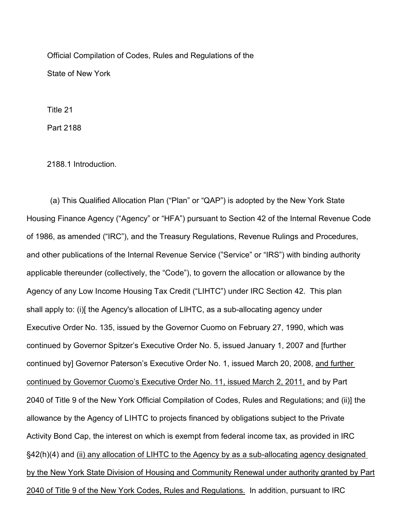Official Compilation of Codes, Rules and Regulations of the State of New York

Title 21

Part 2188

2188.1 Introduction.

(a) This Qualified Allocation Plan ("Plan" or "QAP") is adopted by the New York State Housing Finance Agency ("Agency" or "HFA") pursuant to Section 42 of the Internal Revenue Code of 1986, as amended ("IRC"), and the Treasury Regulations, Revenue Rulings and Procedures, and other publications of the Internal Revenue Service ("Service" or "IRS") with binding authority applicable thereunder (collectively, the "Code"), to govern the allocation or allowance by the Agency of any Low Income Housing Tax Credit ("LIHTC") under IRC Section 42. This plan shall apply to: (i)[ the Agency's allocation of LIHTC, as a sub-allocating agency under Executive Order No. 135, issued by the Governor Cuomo on February 27, 1990, which was continued by Governor Spitzer's Executive Order No. 5, issued January 1, 2007 and [further continued by] Governor Paterson's Executive Order No. 1, issued March 20, 2008, and further continued by Governor Cuomo's Executive Order No. 11, issued March 2, 2011, and by Part 2040 of Title 9 of the New York Official Compilation of Codes, Rules and Regulations; and (ii)] the allowance by the Agency of LIHTC to projects financed by obligations subject to the Private Activity Bond Cap, the interest on which is exempt from federal income tax, as provided in IRC §42(h)(4) and (ii) any allocation of LIHTC to the Agency by as a sub-allocating agency designated by the New York State Division of Housing and Community Renewal under authority granted by Part 2040 of Title 9 of the New York Codes, Rules and Regulations. In addition, pursuant to IRC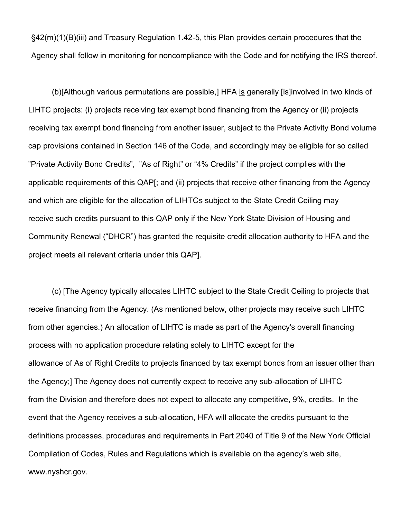§42(m)(1)(B)(iii) and Treasury Regulation 1.42-5, this Plan provides certain procedures that the Agency shall follow in monitoring for noncompliance with the Code and for notifying the IRS thereof.

(b)[Although various permutations are possible,] HFA is generally [is]involved in two kinds of LIHTC projects: (i) projects receiving tax exempt bond financing from the Agency or (ii) projects receiving tax exempt bond financing from another issuer, subject to the Private Activity Bond volume cap provisions contained in Section 146 of the Code, and accordingly may be eligible for so called "Private Activity Bond Credits", "As of Right" or "4% Credits" if the project complies with the applicable requirements of this QAP[; and (ii) projects that receive other financing from the Agency and which are eligible for the allocation of LIHTCs subject to the State Credit Ceiling may receive such credits pursuant to this QAP only if the New York State Division of Housing and Community Renewal ("DHCR") has granted the requisite credit allocation authority to HFA and the project meets all relevant criteria under this QAP].

(c) [The Agency typically allocates LIHTC subject to the State Credit Ceiling to projects that receive financing from the Agency. (As mentioned below, other projects may receive such LIHTC from other agencies.) An allocation of LIHTC is made as part of the Agency's overall financing process with no application procedure relating solely to LIHTC except for the allowance of As of Right Credits to projects financed by tax exempt bonds from an issuer other than the Agency;] The Agency does not currently expect to receive any sub-allocation of LIHTC from the Division and therefore does not expect to allocate any competitive, 9%, credits. In the event that the Agency receives a sub-allocation, HFA will allocate the credits pursuant to the definitions processes, procedures and requirements in Part 2040 of Title 9 of the New York Official Compilation of Codes, Rules and Regulations which is available on the agency's web site, [www.nyshcr.gov.](http://www.nyshcr.gov/)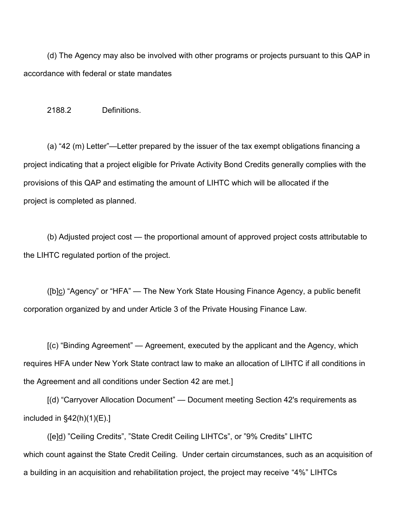(d) The Agency may also be involved with other programs or projects pursuant to this QAP in accordance with federal or state mandates

2188.2 Definitions.

(a) "42 (m) Letter"—Letter prepared by the issuer of the tax exempt obligations financing a project indicating that a project eligible for Private Activity Bond Credits generally complies with the provisions of this QAP and estimating the amount of LIHTC which will be allocated if the project is completed as planned.

(b) Adjusted project cost — the proportional amount of approved project costs attributable to the LIHTC regulated portion of the project.

( $[b]$ ) "Agency" or "HFA" — The New York State Housing Finance Agency, a public benefit corporation organized by and under Article 3 of the Private Housing Finance Law.

[(c) "Binding Agreement" — Agreement, executed by the applicant and the Agency, which requires HFA under New York State contract law to make an allocation of LIHTC if all conditions in the Agreement and all conditions under Section 42 are met.]

[(d) "Carryover Allocation Document" — Document meeting Section 42's requirements as included in §42(h)(1)(E).]

([e]d) "Ceiling Credits", "State Credit Ceiling LIHTCs", or "9% Credits" LIHTC which count against the State Credit Ceiling. Under certain circumstances, such as an acquisition of a building in an acquisition and rehabilitation project, the project may receive "4%" LIHTCs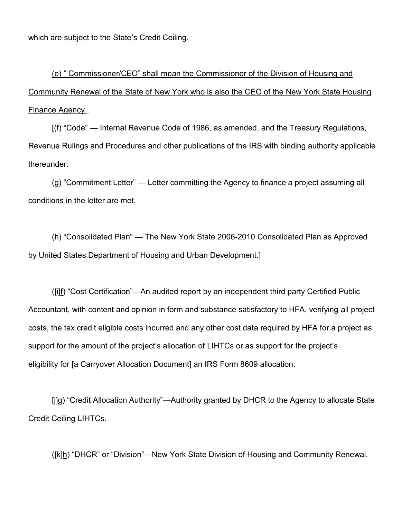which are subject to the State's Credit Ceiling.

(e) " Commissioner/CEO" shall mean the Commissioner of the Division of Housing and Community Renewal of the State of New York who is also the CEO of the New York State Housing Finance Agency .

[(f) "Code" — Internal Revenue Code of 1986, as amended, and the Treasury Regulations, Revenue Rulings and Procedures and other publications of the IRS with binding authority applicable thereunder.

(g) "Commitment Letter" — Letter committing the Agency to finance a project assuming all conditions in the letter are met.

(h) "Consolidated Plan" — The New York State 2006-2010 Consolidated Plan as Approved by United States Department of Housing and Urban Development.]

([i]f) "Cost Certification"—An audited report by an independent third party Certified Public Accountant, with content and opinion in form and substance satisfactory to HFA, verifying all project costs, the tax credit eligible costs incurred and any other cost data required by HFA for a project as support for the amount of the project's allocation of LIHTCs or as support for the project's eligibility for [a Carryover Allocation Document] an IRS Form 8609 allocation.

[j]g) "Credit Allocation Authority"—Authority granted by DHCR to the Agency to allocate State Credit Ceiling LIHTCs.

([k]h) "DHCR" or "Division"—New York State Division of Housing and Community Renewal.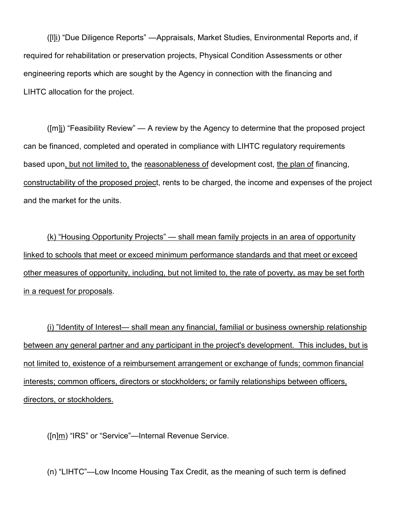([l]i) "Due Diligence Reports" —Appraisals, Market Studies, Environmental Reports and, if required for rehabilitation or preservation projects, Physical Condition Assessments or other engineering reports which are sought by the Agency in connection with the financing and LIHTC allocation for the project.

([m]j) "Feasibility Review" — A review by the Agency to determine that the proposed project can be financed, completed and operated in compliance with LIHTC regulatory requirements based upon, but not limited to, the reasonableness of development cost, the plan of financing, constructability of the proposed project, rents to be charged, the income and expenses of the project and the market for the units.

(k) "Housing Opportunity Projects" — shall mean family projects in an area of opportunity linked to schools that meet or exceed minimum performance standards and that meet or exceed other measures of opportunity, including, but not limited to, the rate of poverty, as may be set forth in a request for proposals.

(i) "Identity of Interest— shall mean any financial, familial or business ownership relationship between any general partner and any participant in the project's development. This includes, but is not limited to, existence of a reimbursement arrangement or exchange of funds; common financial interests; common officers, directors or stockholders; or family relationships between officers, directors, or stockholders.

([n]m) "IRS" or "Service"—Internal Revenue Service.

(n) "LIHTC"—Low Income Housing Tax Credit, as the meaning of such term is defined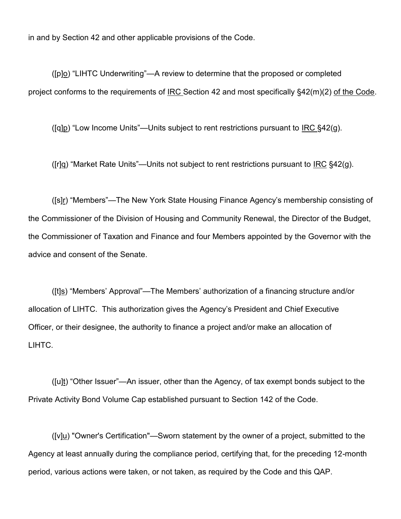in and by Section 42 and other applicable provisions of the Code.

([p]o) "LIHTC Underwriting"—A review to determine that the proposed or completed project conforms to the requirements of IRC Section 42 and most specifically §42(m)(2) of the Code.

( $[q]p$ ) "Low Income Units"—Units subject to rent restrictions pursuant to IRC §42 $(q)$ .

([r]q) "Market Rate Units"—Units not subject to rent restrictions pursuant to IRC  $\S 42(g)$ .

([s]r) "Members"—The New York State Housing Finance Agency's membership consisting of the Commissioner of the Division of Housing and Community Renewal, the Director of the Budget, the Commissioner of Taxation and Finance and four Members appointed by the Governor with the advice and consent of the Senate.

( $[t]$ s) "Members' Approval"—The Members' authorization of a financing structure and/or allocation of LIHTC. This authorization gives the Agency's President and Chief Executive Officer, or their designee, the authority to finance a project and/or make an allocation of LIHTC.

([u]t) "Other Issuer"—An issuer, other than the Agency, of tax exempt bonds subject to the Private Activity Bond Volume Cap established pursuant to Section 142 of the Code.

 $($ [v] $u$ ) "Owner's Certification"—Sworn statement by the owner of a project, submitted to the</u> Agency at least annually during the compliance period, certifying that, for the preceding 12-month period, various actions were taken, or not taken, as required by the Code and this QAP.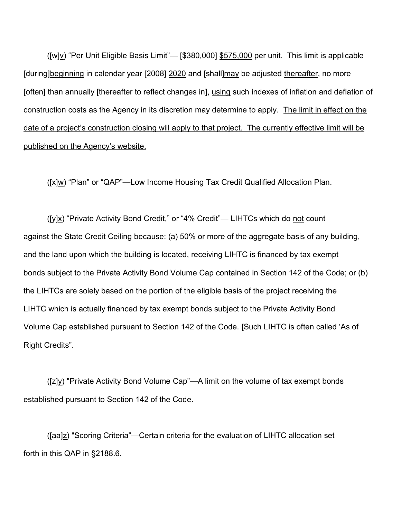$([w]v)$  "Per Unit Eligible Basis Limit"— [\$380,000] \$575,000 per unit. This limit is applicable [during]beginning in calendar year [2008] 2020 and [shall]may be adjusted thereafter, no more [often] than annually [thereafter to reflect changes in], using such indexes of inflation and deflation of construction costs as the Agency in its discretion may determine to apply. The limit in effect on the date of a project's construction closing will apply to that project. The currently effective limit will be published on the Agency's website.

([x]w) "Plan" or "QAP"—Low Income Housing Tax Credit Qualified Allocation Plan.

( $[y]$ <u>x</u>) "Private Activity Bond Credit," or "4% Credit"— LIHTCs which do not count against the State Credit Ceiling because: (a) 50% or more of the aggregate basis of any building, and the land upon which the building is located, receiving LIHTC is financed by tax exempt bonds subject to the Private Activity Bond Volume Cap contained in Section 142 of the Code; or (b) the LIHTCs are solely based on the portion of the eligible basis of the project receiving the LIHTC which is actually financed by tax exempt bonds subject to the Private Activity Bond Volume Cap established pursuant to Section 142 of the Code. [Such LIHTC is often called 'As of Right Credits".

([z]y) "Private Activity Bond Volume Cap"—A limit on the volume of tax exempt bonds established pursuant to Section 142 of the Code.

([aa]z) "Scoring Criteria"—Certain criteria for the evaluation of LIHTC allocation set forth in this QAP in §2188.6.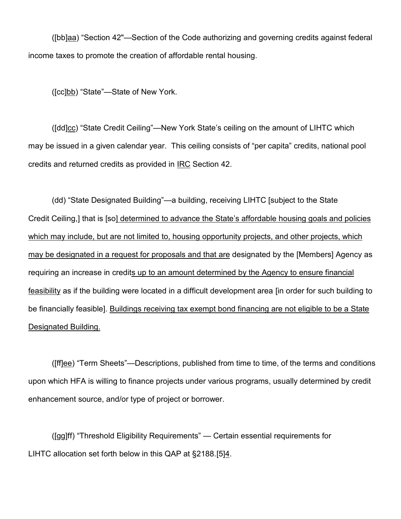([bb]aa) "Section 42"—Section of the Code authorizing and governing credits against federal income taxes to promote the creation of affordable rental housing.

([cc]bb) "State"-State of New York.

([dd]cc) "State Credit Ceiling"—New York State's ceiling on the amount of LIHTC which may be issued in a given calendar year. This ceiling consists of "per capita" credits, national pool credits and returned credits as provided in IRC Section 42.

(dd) "State Designated Building"—a building, receiving LIHTC [subject to the State Credit Ceiling,] that is [so] determined to advance the State's affordable housing goals and policies which may include, but are not limited to, housing opportunity projects, and other projects, which may be designated in a request for proposals and that are designated by the [Members] Agency as requiring an increase in credits up to an amount determined by the Agency to ensure financial feasibility as if the building were located in a difficult development area [in order for such building to be financially feasible]. Buildings receiving tax exempt bond financing are not eligible to be a State Designated Building.

([ff]ee) "Term Sheets"—Descriptions, published from time to time, of the terms and conditions upon which HFA is willing to finance projects under various programs, usually determined by credit enhancement source, and/or type of project or borrower.

([gg]ff) "Threshold Eligibility Requirements" — Certain essential requirements for LIHTC allocation set forth below in this QAP at §2188.[5]4.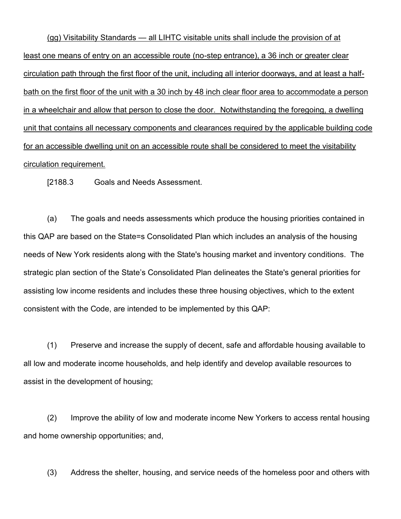(gg) Visitability Standards — all LIHTC visitable units shall include the provision of at least one means of entry on an accessible route (no-step entrance), a 36 inch or greater clear circulation path through the first floor of the unit, including all interior doorways, and at least a halfbath on the first floor of the unit with a 30 inch by 48 inch clear floor area to accommodate a person in a wheelchair and allow that person to close the door. Notwithstanding the foregoing, a dwelling unit that contains all necessary components and clearances required by the applicable building code for an accessible dwelling unit on an accessible route shall be considered to meet the visitability circulation requirement.

[2188.3 Goals and Needs Assessment.

(a) The goals and needs assessments which produce the housing priorities contained in this QAP are based on the State=s Consolidated Plan which includes an analysis of the housing needs of New York residents along with the State's housing market and inventory conditions. The strategic plan section of the State's Consolidated Plan delineates the State's general priorities for assisting low income residents and includes these three housing objectives, which to the extent consistent with the Code, are intended to be implemented by this QAP:

(1) Preserve and increase the supply of decent, safe and affordable housing available to all low and moderate income households, and help identify and develop available resources to assist in the development of housing;

(2) Improve the ability of low and moderate income New Yorkers to access rental housing and home ownership opportunities; and,

(3) Address the shelter, housing, and service needs of the homeless poor and others with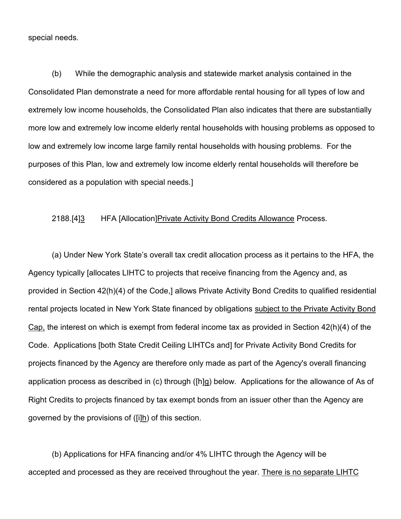special needs.

(b) While the demographic analysis and statewide market analysis contained in the Consolidated Plan demonstrate a need for more affordable rental housing for all types of low and extremely low income households, the Consolidated Plan also indicates that there are substantially more low and extremely low income elderly rental households with housing problems as opposed to low and extremely low income large family rental households with housing problems. For the purposes of this Plan, low and extremely low income elderly rental households will therefore be considered as a population with special needs.]

### 2188.[4]3 HFA [Allocation]Private Activity Bond Credits Allowance Process.

(a) Under New York State's overall tax credit allocation process as it pertains to the HFA, the Agency typically [allocates LIHTC to projects that receive financing from the Agency and, as provided in Section 42(h)(4) of the Code,] allows Private Activity Bond Credits to qualified residential rental projects located in New York State financed by obligations subject to the Private Activity Bond Cap, the interest on which is exempt from federal income tax as provided in Section 42(h)(4) of the Code. Applications [both State Credit Ceiling LIHTCs and] for Private Activity Bond Credits for projects financed by the Agency are therefore only made as part of the Agency's overall financing application process as described in (c) through ([h]g) below. Applications for the allowance of As of Right Credits to projects financed by tax exempt bonds from an issuer other than the Agency are governed by the provisions of  $([i]h)$  of this section.

(b) Applications for HFA financing and/or 4% LIHTC through the Agency will be accepted and processed as they are received throughout the year. There is no separate LIHTC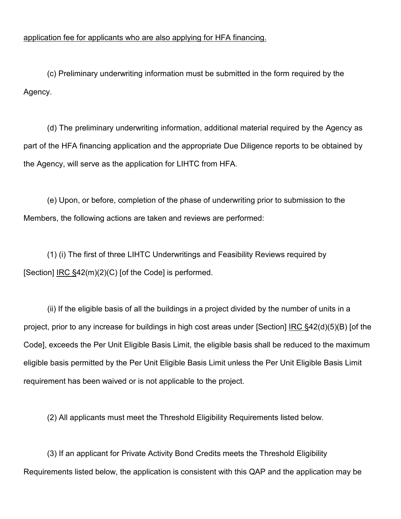## application fee for applicants who are also applying for HFA financing.

(c) Preliminary underwriting information must be submitted in the form required by the Agency.

(d) The preliminary underwriting information, additional material required by the Agency as part of the HFA financing application and the appropriate Due Diligence reports to be obtained by the Agency, will serve as the application for LIHTC from HFA.

(e) Upon, or before, completion of the phase of underwriting prior to submission to the Members, the following actions are taken and reviews are performed:

(1) (i) The first of three LIHTC Underwritings and Feasibility Reviews required by [Section]  $\overline{IRC} \, \S42(m)(2)(C)$  [of the Code] is performed.

(ii) If the eligible basis of all the buildings in a project divided by the number of units in a project, prior to any increase for buildings in high cost areas under [Section] IRC §42(d)(5)(B) [of the Code], exceeds the Per Unit Eligible Basis Limit, the eligible basis shall be reduced to the maximum eligible basis permitted by the Per Unit Eligible Basis Limit unless the Per Unit Eligible Basis Limit requirement has been waived or is not applicable to the project.

(2) All applicants must meet the Threshold Eligibility Requirements listed below.

(3) If an applicant for Private Activity Bond Credits meets the Threshold Eligibility Requirements listed below, the application is consistent with this QAP and the application may be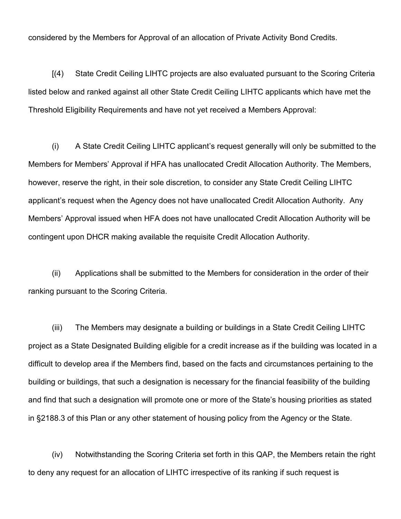considered by the Members for Approval of an allocation of Private Activity Bond Credits.

[(4) State Credit Ceiling LIHTC projects are also evaluated pursuant to the Scoring Criteria listed below and ranked against all other State Credit Ceiling LIHTC applicants which have met the Threshold Eligibility Requirements and have not yet received a Members Approval:

(i) A State Credit Ceiling LIHTC applicant's request generally will only be submitted to the Members for Members' Approval if HFA has unallocated Credit Allocation Authority. The Members, however, reserve the right, in their sole discretion, to consider any State Credit Ceiling LIHTC applicant's request when the Agency does not have unallocated Credit Allocation Authority. Any Members' Approval issued when HFA does not have unallocated Credit Allocation Authority will be contingent upon DHCR making available the requisite Credit Allocation Authority.

(ii) Applications shall be submitted to the Members for consideration in the order of their ranking pursuant to the Scoring Criteria.

(iii) The Members may designate a building or buildings in a State Credit Ceiling LIHTC project as a State Designated Building eligible for a credit increase as if the building was located in a difficult to develop area if the Members find, based on the facts and circumstances pertaining to the building or buildings, that such a designation is necessary for the financial feasibility of the building and find that such a designation will promote one or more of the State's housing priorities as stated in §2188.3 of this Plan or any other statement of housing policy from the Agency or the State.

(iv) Notwithstanding the Scoring Criteria set forth in this QAP, the Members retain the right to deny any request for an allocation of LIHTC irrespective of its ranking if such request is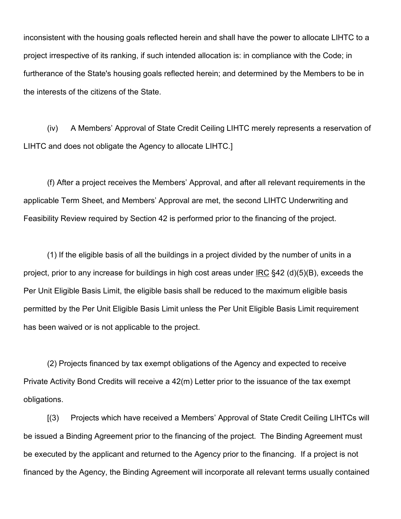inconsistent with the housing goals reflected herein and shall have the power to allocate LIHTC to a project irrespective of its ranking, if such intended allocation is: in compliance with the Code; in furtherance of the State's housing goals reflected herein; and determined by the Members to be in the interests of the citizens of the State.

(iv) A Members' Approval of State Credit Ceiling LIHTC merely represents a reservation of LIHTC and does not obligate the Agency to allocate LIHTC.]

(f) After a project receives the Members' Approval, and after all relevant requirements in the applicable Term Sheet, and Members' Approval are met, the second LIHTC Underwriting and Feasibility Review required by Section 42 is performed prior to the financing of the project.

(1) If the eligible basis of all the buildings in a project divided by the number of units in a project, prior to any increase for buildings in high cost areas under IRC §42 (d)(5)(B), exceeds the Per Unit Eligible Basis Limit, the eligible basis shall be reduced to the maximum eligible basis permitted by the Per Unit Eligible Basis Limit unless the Per Unit Eligible Basis Limit requirement has been waived or is not applicable to the project.

(2) Projects financed by tax exempt obligations of the Agency and expected to receive Private Activity Bond Credits will receive a 42(m) Letter prior to the issuance of the tax exempt obligations.

[(3) Projects which have received a Members' Approval of State Credit Ceiling LIHTCs will be issued a Binding Agreement prior to the financing of the project. The Binding Agreement must be executed by the applicant and returned to the Agency prior to the financing. If a project is not financed by the Agency, the Binding Agreement will incorporate all relevant terms usually contained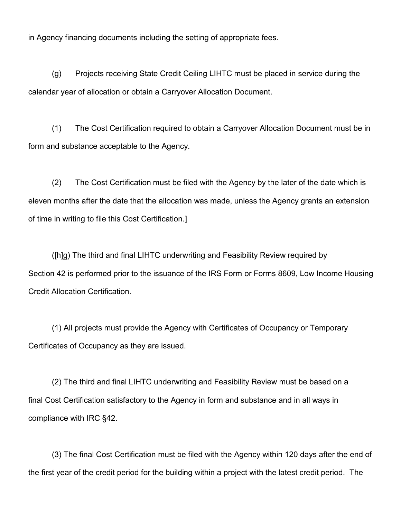in Agency financing documents including the setting of appropriate fees.

(g) Projects receiving State Credit Ceiling LIHTC must be placed in service during the calendar year of allocation or obtain a Carryover Allocation Document.

(1) The Cost Certification required to obtain a Carryover Allocation Document must be in form and substance acceptable to the Agency.

(2) The Cost Certification must be filed with the Agency by the later of the date which is eleven months after the date that the allocation was made, unless the Agency grants an extension of time in writing to file this Cost Certification.]

([h]g) The third and final LIHTC underwriting and Feasibility Review required by Section 42 is performed prior to the issuance of the IRS Form or Forms 8609, Low Income Housing Credit Allocation Certification.

(1) All projects must provide the Agency with Certificates of Occupancy or Temporary Certificates of Occupancy as they are issued.

(2) The third and final LIHTC underwriting and Feasibility Review must be based on a final Cost Certification satisfactory to the Agency in form and substance and in all ways in compliance with IRC §42.

(3) The final Cost Certification must be filed with the Agency within 120 days after the end of the first year of the credit period for the building within a project with the latest credit period. The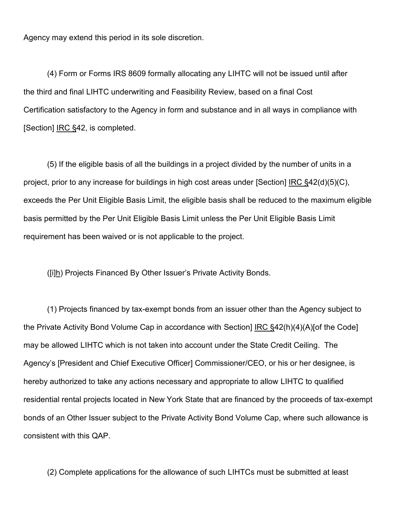Agency may extend this period in its sole discretion.

(4) Form or Forms IRS 8609 formally allocating any LIHTC will not be issued until after the third and final LIHTC underwriting and Feasibility Review, based on a final Cost Certification satisfactory to the Agency in form and substance and in all ways in compliance with [Section] <u>IRC §</u>42, is completed.

(5) If the eligible basis of all the buildings in a project divided by the number of units in a project, prior to any increase for buildings in high cost areas under [Section] IRC §42(d)(5)(C), exceeds the Per Unit Eligible Basis Limit, the eligible basis shall be reduced to the maximum eligible basis permitted by the Per Unit Eligible Basis Limit unless the Per Unit Eligible Basis Limit requirement has been waived or is not applicable to the project.

([i]h) Projects Financed By Other Issuer's Private Activity Bonds.

(1) Projects financed by tax-exempt bonds from an issuer other than the Agency subject to the Private Activity Bond Volume Cap in accordance with Section] IRC §42(h)(4)(A)[of the Code] may be allowed LIHTC which is not taken into account under the State Credit Ceiling. The Agency's [President and Chief Executive Officer] Commissioner/CEO, or his or her designee, is hereby authorized to take any actions necessary and appropriate to allow LIHTC to qualified residential rental projects located in New York State that are financed by the proceeds of tax-exempt bonds of an Other Issuer subject to the Private Activity Bond Volume Cap, where such allowance is consistent with this QAP.

(2) Complete applications for the allowance of such LIHTCs must be submitted at least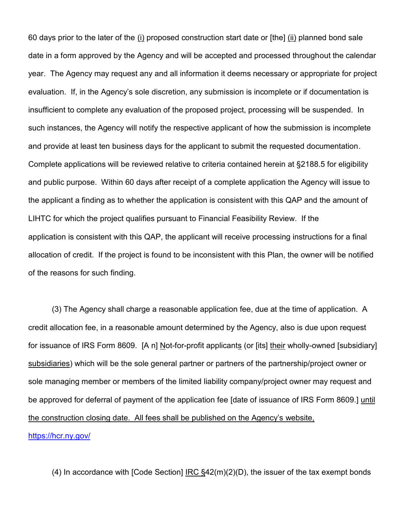60 days prior to the later of the (i) proposed construction start date or [the] (ii) planned bond sale date in a form approved by the Agency and will be accepted and processed throughout the calendar year. The Agency may request any and all information it deems necessary or appropriate for project evaluation. If, in the Agency's sole discretion, any submission is incomplete or if documentation is insufficient to complete any evaluation of the proposed project, processing will be suspended. In such instances, the Agency will notify the respective applicant of how the submission is incomplete and provide at least ten business days for the applicant to submit the requested documentation. Complete applications will be reviewed relative to criteria contained herein at §2188.5 for eligibility and public purpose. Within 60 days after receipt of a complete application the Agency will issue to the applicant a finding as to whether the application is consistent with this QAP and the amount of LIHTC for which the project qualifies pursuant to Financial Feasibility Review. If the application is consistent with this QAP, the applicant will receive processing instructions for a final allocation of credit. If the project is found to be inconsistent with this Plan, the owner will be notified of the reasons for such finding.

(3) The Agency shall charge a reasonable application fee, due at the time of application. A credit allocation fee, in a reasonable amount determined by the Agency, also is due upon request for issuance of IRS Form 8609. [A n] Not-for-profit applicants (or [its] their wholly-owned [subsidiary] subsidiaries) which will be the sole general partner or partners of the partnership/project owner or sole managing member or members of the limited liability company/project owner may request and be approved for deferral of payment of the application fee [date of issuance of IRS Form 8609.] until the construction closing date. All fees shall be published on the Agency's website,

# <https://hcr.ny.gov/>

(4) In accordance with [Code Section] IRC §42(m)(2)(D), the issuer of the tax exempt bonds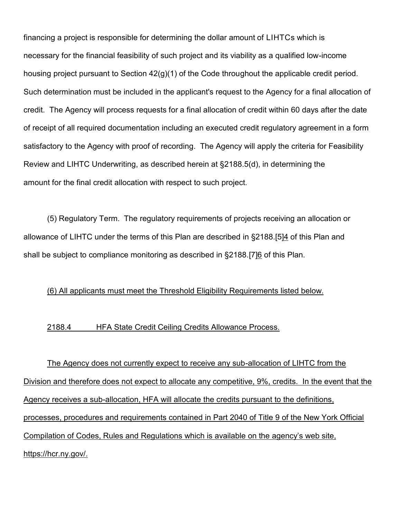financing a project is responsible for determining the dollar amount of LIHTCs which is necessary for the financial feasibility of such project and its viability as a qualified low-income housing project pursuant to Section 42(g)(1) of the Code throughout the applicable credit period. Such determination must be included in the applicant's request to the Agency for a final allocation of credit. The Agency will process requests for a final allocation of credit within 60 days after the date of receipt of all required documentation including an executed credit regulatory agreement in a form satisfactory to the Agency with proof of recording. The Agency will apply the criteria for Feasibility Review and LIHTC Underwriting, as described herein at §2188.5(d), in determining the amount for the final credit allocation with respect to such project.

(5) Regulatory Term. The regulatory requirements of projects receiving an allocation or allowance of LIHTC under the terms of this Plan are described in §2188.[5]4 of this Plan and shall be subject to compliance monitoring as described in §2188.[7]6 of this Plan.

### (6) All applicants must meet the Threshold Eligibility Requirements listed below.

### 2188.4 HFA State Credit Ceiling Credits Allowance Process.

The Agency does not currently expect to receive any sub-allocation of LIHTC from the Division and therefore does not expect to allocate any competitive, 9%, credits. In the event that the Agency receives a sub-allocation, HFA will allocate the credits pursuant to the definitions, processes, procedures and requirements contained in Part 2040 of Title 9 of the New York Official Compilation of Codes, Rules and Regulations which is available on the agency's web site, https://hcr.ny.gov/.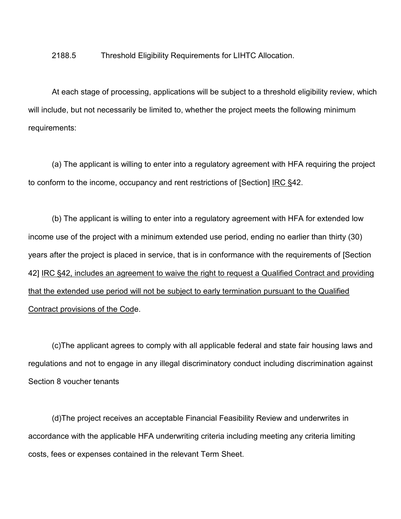#### 2188.5 Threshold Eligibility Requirements for LIHTC Allocation.

At each stage of processing, applications will be subject to a threshold eligibility review, which will include, but not necessarily be limited to, whether the project meets the following minimum requirements:

(a) The applicant is willing to enter into a regulatory agreement with HFA requiring the project to conform to the income, occupancy and rent restrictions of [Section] IRC §42.

(b) The applicant is willing to enter into a regulatory agreement with HFA for extended low income use of the project with a minimum extended use period, ending no earlier than thirty (30) years after the project is placed in service, that is in conformance with the requirements of [Section 42] IRC §42, includes an agreement to waive the right to request a Qualified Contract and providing that the extended use period will not be subject to early termination pursuant to the Qualified Contract provisions of the Code.

(c)The applicant agrees to comply with all applicable federal and state fair housing laws and regulations and not to engage in any illegal discriminatory conduct including discrimination against Section 8 voucher tenants

(d)The project receives an acceptable Financial Feasibility Review and underwrites in accordance with the applicable HFA underwriting criteria including meeting any criteria limiting costs, fees or expenses contained in the relevant Term Sheet.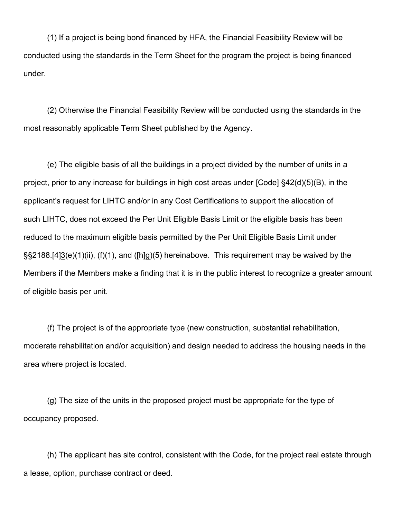(1) If a project is being bond financed by HFA, the Financial Feasibility Review will be conducted using the standards in the Term Sheet for the program the project is being financed under.

(2) Otherwise the Financial Feasibility Review will be conducted using the standards in the most reasonably applicable Term Sheet published by the Agency.

(e) The eligible basis of all the buildings in a project divided by the number of units in a project, prior to any increase for buildings in high cost areas under [Code] §42(d)(5)(B), in the applicant's request for LIHTC and/or in any Cost Certifications to support the allocation of such LIHTC, does not exceed the Per Unit Eligible Basis Limit or the eligible basis has been reduced to the maximum eligible basis permitted by the Per Unit Eligible Basis Limit under  $\S$ \$2188.[4] $3$ (e)(1)(ii), (f)(1), and ([h]g)(5) hereinabove. This requirement may be waived by the Members if the Members make a finding that it is in the public interest to recognize a greater amount of eligible basis per unit.

(f) The project is of the appropriate type (new construction, substantial rehabilitation, moderate rehabilitation and/or acquisition) and design needed to address the housing needs in the area where project is located.

(g) The size of the units in the proposed project must be appropriate for the type of occupancy proposed.

(h) The applicant has site control, consistent with the Code, for the project real estate through a lease, option, purchase contract or deed.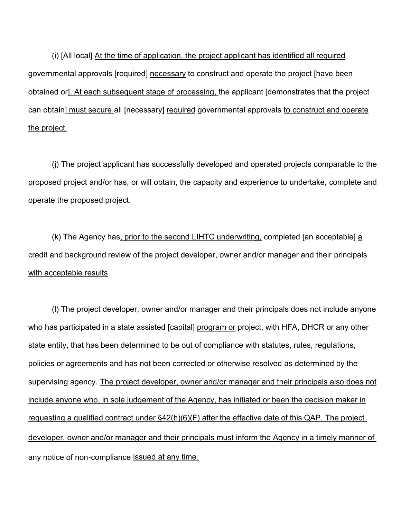(i) [All local] At the time of application, the project applicant has identified all required governmental approvals [required] necessary to construct and operate the project [have been obtained or]. At each subsequent stage of processing, the applicant [demonstrates that the project can obtain] must secure all [necessary] required governmental approvals to construct and operate the project.

(j) The project applicant has successfully developed and operated projects comparable to the proposed project and/or has, or will obtain, the capacity and experience to undertake, complete and operate the proposed project.

(k) The Agency has, prior to the second LIHTC underwriting, completed [an acceptable] a credit and background review of the project developer, owner and/or manager and their principals with acceptable results.

(l) The project developer, owner and/or manager and their principals does not include anyone who has participated in a state assisted [capital] program or project, with HFA, DHCR or any other state entity, that has been determined to be out of compliance with statutes, rules, regulations, policies or agreements and has not been corrected or otherwise resolved as determined by the supervising agency. The project developer, owner and/or manager and their principals also does not include anyone who, in sole judgement of the Agency, has initiated or been the decision maker in requesting a qualified contract under §42(h)(6)(F) after the effective date of this QAP. The project developer, owner and/or manager and their principals must inform the Agency in a timely manner of any notice of non-compliance issued at any time.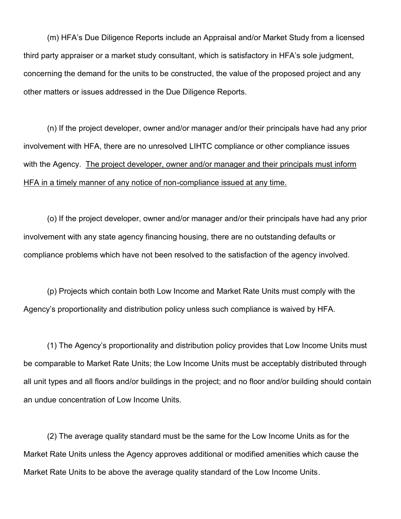(m) HFA's Due Diligence Reports include an Appraisal and/or Market Study from a licensed third party appraiser or a market study consultant, which is satisfactory in HFA's sole judgment, concerning the demand for the units to be constructed, the value of the proposed project and any other matters or issues addressed in the Due Diligence Reports.

(n) If the project developer, owner and/or manager and/or their principals have had any prior involvement with HFA, there are no unresolved LIHTC compliance or other compliance issues with the Agency. The project developer, owner and/or manager and their principals must inform HFA in a timely manner of any notice of non-compliance issued at any time.

(o) If the project developer, owner and/or manager and/or their principals have had any prior involvement with any state agency financing housing, there are no outstanding defaults or compliance problems which have not been resolved to the satisfaction of the agency involved.

(p) Projects which contain both Low Income and Market Rate Units must comply with the Agency's proportionality and distribution policy unless such compliance is waived by HFA.

(1) The Agency's proportionality and distribution policy provides that Low Income Units must be comparable to Market Rate Units; the Low Income Units must be acceptably distributed through all unit types and all floors and/or buildings in the project; and no floor and/or building should contain an undue concentration of Low Income Units.

(2) The average quality standard must be the same for the Low Income Units as for the Market Rate Units unless the Agency approves additional or modified amenities which cause the Market Rate Units to be above the average quality standard of the Low Income Units.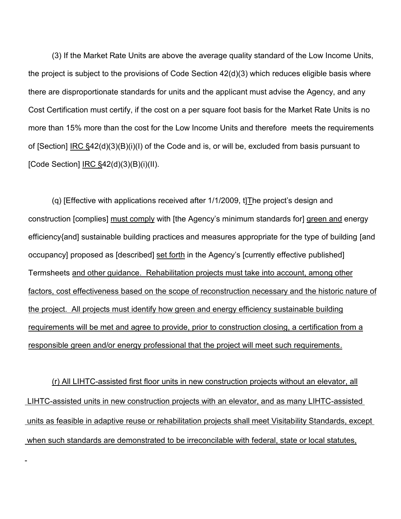(3) If the Market Rate Units are above the average quality standard of the Low Income Units, the project is subject to the provisions of Code Section 42(d)(3) which reduces eligible basis where there are disproportionate standards for units and the applicant must advise the Agency, and any Cost Certification must certify, if the cost on a per square foot basis for the Market Rate Units is no more than 15% more than the cost for the Low Income Units and therefore meets the requirements of [Section] IRC §42(d)(3)(B)(i)(I) of the Code and is, or will be, excluded from basis pursuant to [Code Section]  $IRC$ §42(d)(3)(B)(i)(II).</u>

(q) [Effective with applications received after  $1/1/2009$ , t] The project's design and construction [complies] must comply with [the Agency's minimum standards for] green and energy efficiency{and] sustainable building practices and measures appropriate for the type of building [and occupancy] proposed as [described] set forth in the Agency's [currently effective published] Termsheets and other guidance. Rehabilitation projects must take into account, among other factors, cost effectiveness based on the scope of reconstruction necessary and the historic nature of the project. All projects must identify how green and energy efficiency sustainable building requirements will be met and agree to provide, prior to construction closing, a certification from a responsible green and/or energy professional that the project will meet such requirements.

(r) All LIHTC-assisted first floor units in new construction projects without an elevator, all LIHTC-assisted units in new construction projects with an elevator, and as many LIHTC-assisted units as feasible in adaptive reuse or rehabilitation projects shall meet Visitability Standards, except when such standards are demonstrated to be irreconcilable with federal, state or local statutes,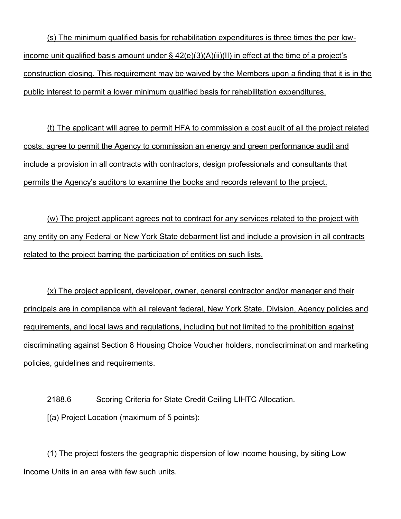(s) The minimum qualified basis for rehabilitation expenditures is three times the per lowincome unit qualified basis amount under §  $42(e)(3)(A)(ii)(II)$  in effect at the time of a project's construction closing. This requirement may be waived by the Members upon a finding that it is in the public interest to permit a lower minimum qualified basis for rehabilitation expenditures.

(t) The applicant will agree to permit HFA to commission a cost audit of all the project related costs, agree to permit the Agency to commission an energy and green performance audit and include a provision in all contracts with contractors, design professionals and consultants that permits the Agency's auditors to examine the books and records relevant to the project.

(w) The project applicant agrees not to contract for any services related to the project with any entity on any Federal or New York State debarment list and include a provision in all contracts related to the project barring the participation of entities on such lists.

(x) The project applicant, developer, owner, general contractor and/or manager and their principals are in compliance with all relevant federal, New York State, Division, Agency policies and requirements, and local laws and regulations, including but not limited to the prohibition against discriminating against Section 8 Housing Choice Voucher holders, nondiscrimination and marketing policies, guidelines and requirements.

2188.6 Scoring Criteria for State Credit Ceiling LIHTC Allocation. [(a) Project Location (maximum of 5 points):

(1) The project fosters the geographic dispersion of low income housing, by siting Low Income Units in an area with few such units.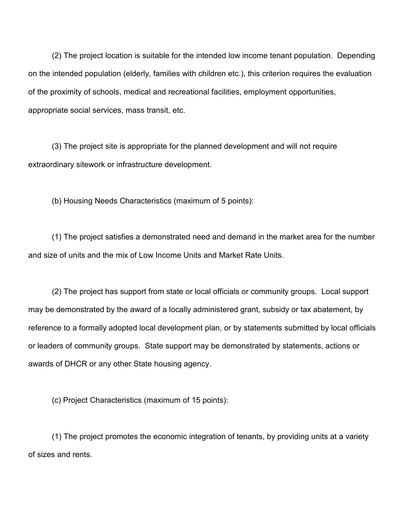(2) The project location is suitable for the intended low income tenant population. Depending on the intended population (elderly, families with children etc.), this criterion requires the evaluation of the proximity of schools, medical and recreational facilities, employment opportunities, appropriate social services, mass transit, etc.

(3) The project site is appropriate for the planned development and will not require extraordinary sitework or infrastructure development.

(b) Housing Needs Characteristics (maximum of 5 points):

(1) The project satisfies a demonstrated need and demand in the market area for the number and size of units and the mix of Low Income Units and Market Rate Units.

(2) The project has support from state or local officials or community groups. Local support may be demonstrated by the award of a locally administered grant, subsidy or tax abatement, by reference to a formally adopted local development plan, or by statements submitted by local officials or leaders of community groups. State support may be demonstrated by statements, actions or awards of DHCR or any other State housing agency.

(c) Project Characteristics (maximum of 15 points):

(1) The project promotes the economic integration of tenants, by providing units at a variety of sizes and rents.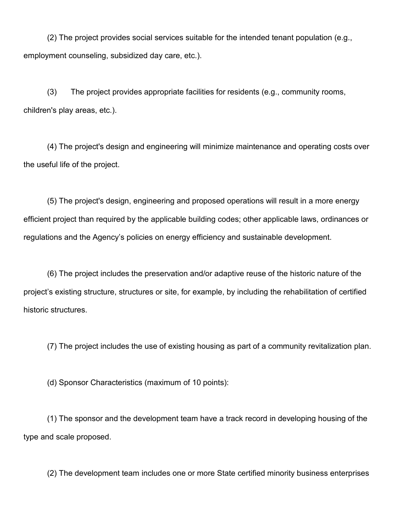(2) The project provides social services suitable for the intended tenant population (e.g., employment counseling, subsidized day care, etc.).

(3) The project provides appropriate facilities for residents (e.g., community rooms, children's play areas, etc.).

(4) The project's design and engineering will minimize maintenance and operating costs over the useful life of the project.

(5) The project's design, engineering and proposed operations will result in a more energy efficient project than required by the applicable building codes; other applicable laws, ordinances or regulations and the Agency's policies on energy efficiency and sustainable development.

(6) The project includes the preservation and/or adaptive reuse of the historic nature of the project's existing structure, structures or site, for example, by including the rehabilitation of certified historic structures.

(7) The project includes the use of existing housing as part of a community revitalization plan.

(d) Sponsor Characteristics (maximum of 10 points):

(1) The sponsor and the development team have a track record in developing housing of the type and scale proposed.

(2) The development team includes one or more State certified minority business enterprises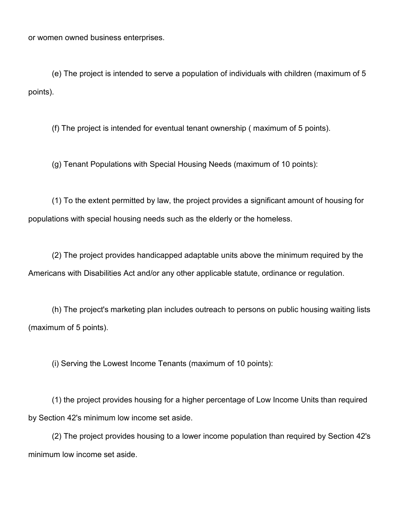or women owned business enterprises.

(e) The project is intended to serve a population of individuals with children (maximum of 5 points).

(f) The project is intended for eventual tenant ownership ( maximum of 5 points).

(g) Tenant Populations with Special Housing Needs (maximum of 10 points):

(1) To the extent permitted by law, the project provides a significant amount of housing for populations with special housing needs such as the elderly or the homeless.

(2) The project provides handicapped adaptable units above the minimum required by the Americans with Disabilities Act and/or any other applicable statute, ordinance or regulation.

(h) The project's marketing plan includes outreach to persons on public housing waiting lists (maximum of 5 points).

(i) Serving the Lowest Income Tenants (maximum of 10 points):

(1) the project provides housing for a higher percentage of Low Income Units than required by Section 42's minimum low income set aside.

(2) The project provides housing to a lower income population than required by Section 42's minimum low income set aside.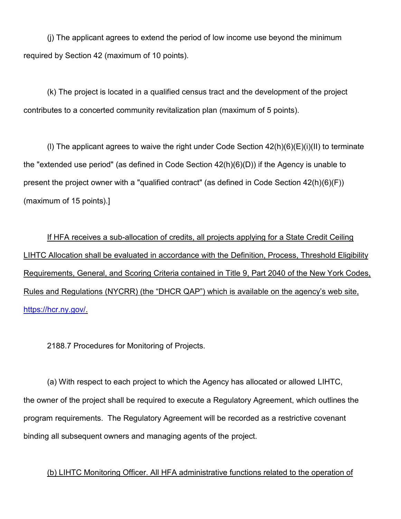(j) The applicant agrees to extend the period of low income use beyond the minimum required by Section 42 (maximum of 10 points).

(k) The project is located in a qualified census tract and the development of the project contributes to a concerted community revitalization plan (maximum of 5 points).

(I) The applicant agrees to waive the right under Code Section  $42(h)(6)(E)(i)(II)$  to terminate the "extended use period" (as defined in Code Section 42(h)(6)(D)) if the Agency is unable to present the project owner with a "qualified contract" (as defined in Code Section 42(h)(6)(F)) (maximum of 15 points).]

If HFA receives a sub-allocation of credits, all projects applying for a State Credit Ceiling LIHTC Allocation shall be evaluated in accordance with the Definition, Process, Threshold Eligibility Requirements, General, and Scoring Criteria contained in Title 9, Part 2040 of the New York Codes, Rules and Regulations (NYCRR) (the "DHCR QAP") which is available on the agency's web site, [https://hcr.ny.gov/.](https://hcr.ny.gov/)

2188.7 Procedures for Monitoring of Projects.

(a) With respect to each project to which the Agency has allocated or allowed LIHTC, the owner of the project shall be required to execute a Regulatory Agreement, which outlines the program requirements. The Regulatory Agreement will be recorded as a restrictive covenant binding all subsequent owners and managing agents of the project.

(b) LIHTC Monitoring Officer. All HFA administrative functions related to the operation of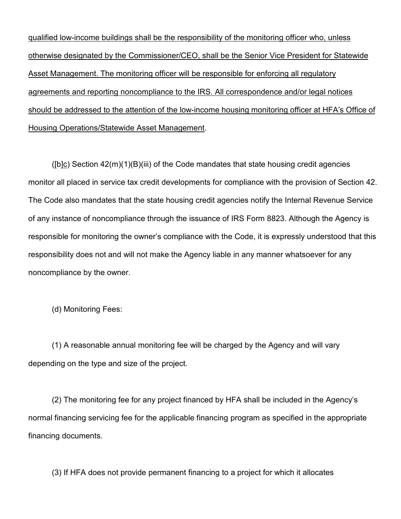qualified low-income buildings shall be the responsibility of the monitoring officer who, unless otherwise designated by the Commissioner/CEO, shall be the Senior Vice President for Statewide Asset Management. The monitoring officer will be responsible for enforcing all regulatory agreements and reporting noncompliance to the IRS. All correspondence and/or legal notices should be addressed to the attention of the low-income housing monitoring officer at HFA's Office of Housing Operations/Statewide Asset Management.

([b]c) Section  $42(m)(1)(B)(iii)$  of the Code mandates that state housing credit agencies monitor all placed in service tax credit developments for compliance with the provision of Section 42. The Code also mandates that the state housing credit agencies notify the Internal Revenue Service of any instance of noncompliance through the issuance of IRS Form 8823. Although the Agency is responsible for monitoring the owner's compliance with the Code, it is expressly understood that this responsibility does not and will not make the Agency liable in any manner whatsoever for any noncompliance by the owner.

(d) Monitoring Fees:

(1) A reasonable annual monitoring fee will be charged by the Agency and will vary depending on the type and size of the project.

(2) The monitoring fee for any project financed by HFA shall be included in the Agency's normal financing servicing fee for the applicable financing program as specified in the appropriate financing documents.

(3) If HFA does not provide permanent financing to a project for which it allocates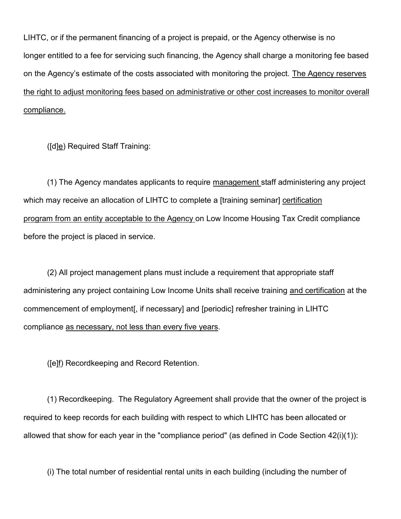LIHTC, or if the permanent financing of a project is prepaid, or the Agency otherwise is no longer entitled to a fee for servicing such financing, the Agency shall charge a monitoring fee based on the Agency's estimate of the costs associated with monitoring the project. The Agency reserves the right to adjust monitoring fees based on administrative or other cost increases to monitor overall compliance.

([d]e) Required Staff Training:

(1) The Agency mandates applicants to require management staff administering any project which may receive an allocation of LIHTC to complete a [training seminar] certification program from an entity acceptable to the Agency on Low Income Housing Tax Credit compliance before the project is placed in service.

(2) All project management plans must include a requirement that appropriate staff administering any project containing Low Income Units shall receive training and certification at the commencement of employment[, if necessary] and [periodic] refresher training in LIHTC compliance as necessary, not less than every five years.

([e]f) Recordkeeping and Record Retention.

(1) Recordkeeping. The Regulatory Agreement shall provide that the owner of the project is required to keep records for each building with respect to which LIHTC has been allocated or allowed that show for each year in the "compliance period" (as defined in Code Section 42(i)(1)):

(i) The total number of residential rental units in each building (including the number of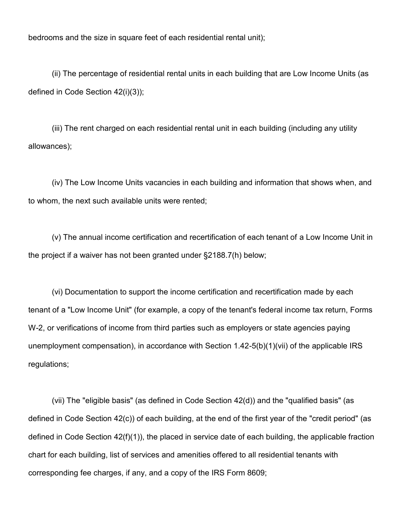bedrooms and the size in square feet of each residential rental unit);

(ii) The percentage of residential rental units in each building that are Low Income Units (as defined in Code Section 42(i)(3));

(iii) The rent charged on each residential rental unit in each building (including any utility allowances);

(iv) The Low Income Units vacancies in each building and information that shows when, and to whom, the next such available units were rented;

(v) The annual income certification and recertification of each tenant of a Low Income Unit in the project if a waiver has not been granted under §2188.7(h) below;

(vi) Documentation to support the income certification and recertification made by each tenant of a "Low Income Unit" (for example, a copy of the tenant's federal income tax return, Forms W-2, or verifications of income from third parties such as employers or state agencies paying unemployment compensation), in accordance with Section 1.42-5(b)(1)(vii) of the applicable IRS regulations;

(vii) The "eligible basis" (as defined in Code Section 42(d)) and the "qualified basis" (as defined in Code Section 42(c)) of each building, at the end of the first year of the "credit period" (as defined in Code Section 42(f)(1)), the placed in service date of each building, the applicable fraction chart for each building, list of services and amenities offered to all residential tenants with corresponding fee charges, if any, and a copy of the IRS Form 8609;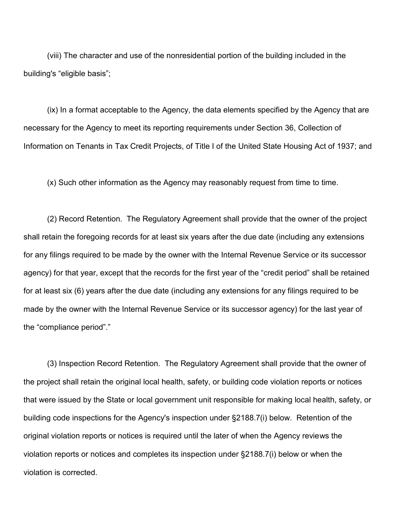(viii) The character and use of the nonresidential portion of the building included in the building's "eligible basis";

(ix) In a format acceptable to the Agency, the data elements specified by the Agency that are necessary for the Agency to meet its reporting requirements under Section 36, Collection of Information on Tenants in Tax Credit Projects, of Title I of the United State Housing Act of 1937; and

(x) Such other information as the Agency may reasonably request from time to time.

(2) Record Retention. The Regulatory Agreement shall provide that the owner of the project shall retain the foregoing records for at least six years after the due date (including any extensions for any filings required to be made by the owner with the Internal Revenue Service or its successor agency) for that year, except that the records for the first year of the "credit period" shall be retained for at least six (6) years after the due date (including any extensions for any filings required to be made by the owner with the Internal Revenue Service or its successor agency) for the last year of the "compliance period"."

(3) Inspection Record Retention. The Regulatory Agreement shall provide that the owner of the project shall retain the original local health, safety, or building code violation reports or notices that were issued by the State or local government unit responsible for making local health, safety, or building code inspections for the Agency's inspection under §2188.7(i) below. Retention of the original violation reports or notices is required until the later of when the Agency reviews the violation reports or notices and completes its inspection under §2188.7(i) below or when the violation is corrected.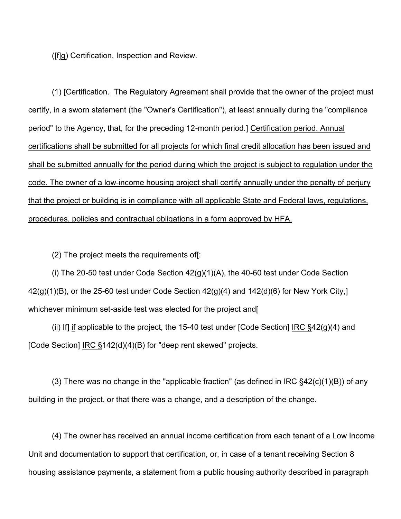([f]g) Certification, Inspection and Review.

(1) [Certification. The Regulatory Agreement shall provide that the owner of the project must certify, in a sworn statement (the "Owner's Certification"), at least annually during the "compliance period" to the Agency, that, for the preceding 12-month period.] Certification period. Annual certifications shall be submitted for all projects for which final credit allocation has been issued and shall be submitted annually for the period during which the project is subject to regulation under the code. The owner of a low-income housing project shall certify annually under the penalty of perjury that the project or building is in compliance with all applicable State and Federal laws, regulations, procedures, policies and contractual obligations in a form approved by HFA.

(2) The project meets the requirements of[:

(i) The 20-50 test under Code Section  $42(g)(1)(A)$ , the 40-60 test under Code Section  $42(g)(1)(B)$ , or the 25-60 test under Code Section  $42(g)(4)$  and  $142(d)(6)$  for New York City, whichever minimum set-aside test was elected for the project and[

(ii) If] if applicable to the project, the 15-40 test under  $[Code Section]$  IRC  $\S$ 42(g)(4) and [Code Section] IRC §142(d)(4)(B) for "deep rent skewed" projects.

(3) There was no change in the "applicable fraction" (as defined in IRC §42(c)(1)(B)) of any building in the project, or that there was a change, and a description of the change.

(4) The owner has received an annual income certification from each tenant of a Low Income Unit and documentation to support that certification, or, in case of a tenant receiving Section 8 housing assistance payments, a statement from a public housing authority described in paragraph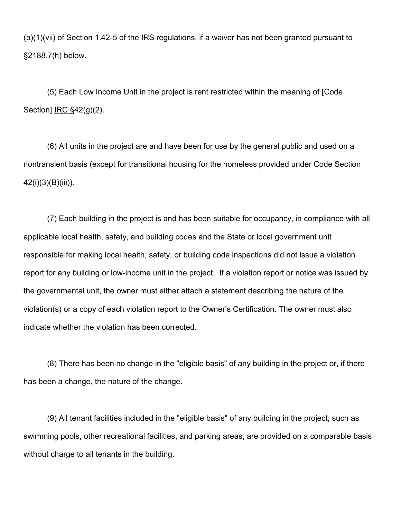(b)(1)(vii) of Section 1.42-5 of the IRS regulations, if a waiver has not been granted pursuant to §2188.7(h) below.

(5) Each Low Income Unit in the project is rent restricted within the meaning of [Code Section]  $\overline{\text{IRC}}$  §42(g)(2).

(6) All units in the project are and have been for use by the general public and used on a nontransient basis (except for transitional housing for the homeless provided under Code Section 42(i)(3)(B)(iii)).

(7) Each building in the project is and has been suitable for occupancy, in compliance with all applicable local health, safety, and building codes and the State or local government unit responsible for making local health, safety, or building code inspections did not issue a violation report for any building or low-income unit in the project. If a violation report or notice was issued by the governmental unit, the owner must either attach a statement describing the nature of the violation(s) or a copy of each violation report to the Owner's Certification. The owner must also indicate whether the violation has been corrected.

(8) There has been no change in the "eligible basis" of any building in the project or, if there has been a change, the nature of the change.

(9) All tenant facilities included in the "eligible basis" of any building in the project, such as swimming pools, other recreational facilities, and parking areas, are provided on a comparable basis without charge to all tenants in the building.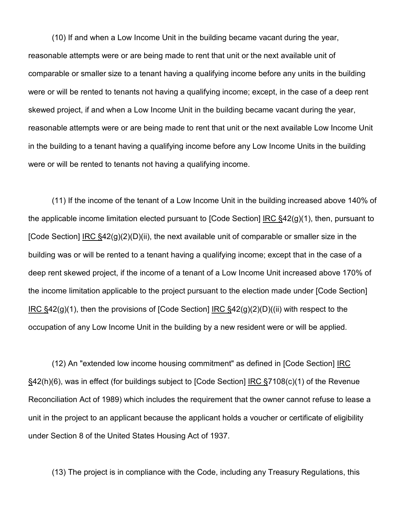(10) If and when a Low Income Unit in the building became vacant during the year, reasonable attempts were or are being made to rent that unit or the next available unit of comparable or smaller size to a tenant having a qualifying income before any units in the building were or will be rented to tenants not having a qualifying income; except, in the case of a deep rent skewed project, if and when a Low Income Unit in the building became vacant during the year, reasonable attempts were or are being made to rent that unit or the next available Low Income Unit in the building to a tenant having a qualifying income before any Low Income Units in the building were or will be rented to tenants not having a qualifying income.

(11) If the income of the tenant of a Low Income Unit in the building increased above 140% of the applicable income limitation elected pursuant to [Code Section] IRC §42(g)(1), then, pursuant to [Code Section] IRC  $\S42(q)(2)(D)(ii)$ , the next available unit of comparable or smaller size in the building was or will be rented to a tenant having a qualifying income; except that in the case of a deep rent skewed project, if the income of a tenant of a Low Income Unit increased above 170% of the income limitation applicable to the project pursuant to the election made under [Code Section] IRC  $\S42(g)(1)$ , then the provisions of [Code Section] IRC  $\S42(g)(2)(D)((ii)$  with respect to the occupation of any Low Income Unit in the building by a new resident were or will be applied.

(12) An "extended low income housing commitment" as defined in [Code Section] IRC §42(h)(6), was in effect (for buildings subject to [Code Section] IRC §7108(c)(1) of the Revenue Reconciliation Act of 1989) which includes the requirement that the owner cannot refuse to lease a unit in the project to an applicant because the applicant holds a voucher or certificate of eligibility under Section 8 of the United States Housing Act of 1937.

(13) The project is in compliance with the Code, including any Treasury Regulations, this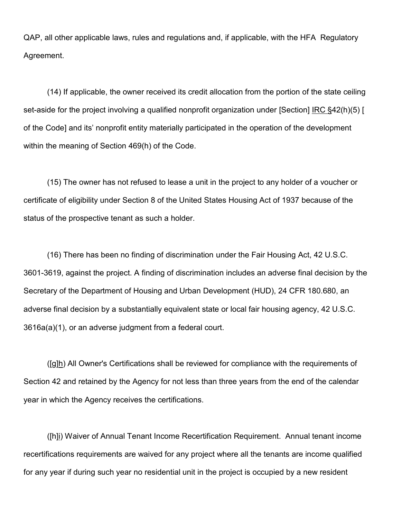QAP, all other applicable laws, rules and regulations and, if applicable, with the HFA Regulatory Agreement.

(14) If applicable, the owner received its credit allocation from the portion of the state ceiling set-aside for the project involving a qualified nonprofit organization under [Section] IRC §42(h)(5) [ of the Code] and its' nonprofit entity materially participated in the operation of the development within the meaning of Section 469(h) of the Code.

(15) The owner has not refused to lease a unit in the project to any holder of a voucher or certificate of eligibility under Section 8 of the United States Housing Act of 1937 because of the status of the prospective tenant as such a holder.

(16) There has been no finding of discrimination under the Fair Housing Act, 42 U.S.C. 3601-3619, against the project. A finding of discrimination includes an adverse final decision by the Secretary of the Department of Housing and Urban Development (HUD), 24 CFR 180.680, an adverse final decision by a substantially equivalent state or local fair housing agency, 42 U.S.C. 3616a(a)(1), or an adverse judgment from a federal court.

 $([g]h)$  All Owner's Certifications shall be reviewed for compliance with the requirements of Section 42 and retained by the Agency for not less than three years from the end of the calendar year in which the Agency receives the certifications.

([h]i) Waiver of Annual Tenant Income Recertification Requirement. Annual tenant income recertifications requirements are waived for any project where all the tenants are income qualified for any year if during such year no residential unit in the project is occupied by a new resident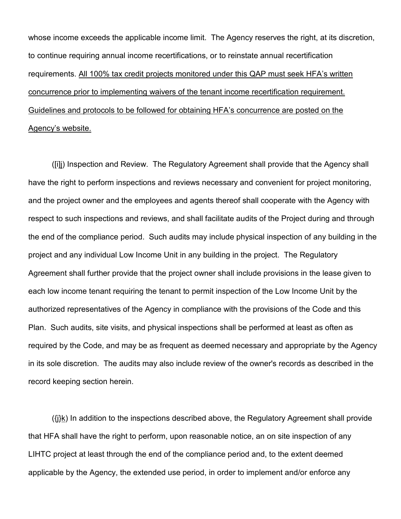whose income exceeds the applicable income limit. The Agency reserves the right, at its discretion, to continue requiring annual income recertifications, or to reinstate annual recertification requirements. All 100% tax credit projects monitored under this QAP must seek HFA's written concurrence prior to implementing waivers of the tenant income recertification requirement. Guidelines and protocols to be followed for obtaining HFA's concurrence are posted on the Agency's website.

([i]j) Inspection and Review. The Regulatory Agreement shall provide that the Agency shall have the right to perform inspections and reviews necessary and convenient for project monitoring, and the project owner and the employees and agents thereof shall cooperate with the Agency with respect to such inspections and reviews, and shall facilitate audits of the Project during and through the end of the compliance period. Such audits may include physical inspection of any building in the project and any individual Low Income Unit in any building in the project. The Regulatory Agreement shall further provide that the project owner shall include provisions in the lease given to each low income tenant requiring the tenant to permit inspection of the Low Income Unit by the authorized representatives of the Agency in compliance with the provisions of the Code and this Plan. Such audits, site visits, and physical inspections shall be performed at least as often as required by the Code, and may be as frequent as deemed necessary and appropriate by the Agency in its sole discretion. The audits may also include review of the owner's records as described in the record keeping section herein.

({j}k) In addition to the inspections described above, the Regulatory Agreement shall provide that HFA shall have the right to perform, upon reasonable notice, an on site inspection of any LIHTC project at least through the end of the compliance period and, to the extent deemed applicable by the Agency, the extended use period, in order to implement and/or enforce any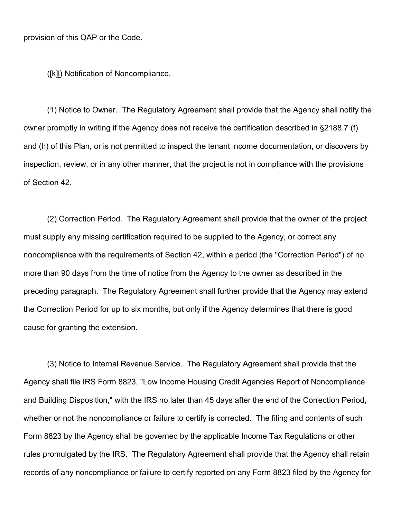([k]l) Notification of Noncompliance.

(1) Notice to Owner. The Regulatory Agreement shall provide that the Agency shall notify the owner promptly in writing if the Agency does not receive the certification described in §2188.7 (f) and (h) of this Plan, or is not permitted to inspect the tenant income documentation, or discovers by inspection, review, or in any other manner, that the project is not in compliance with the provisions of Section 42.

(2) Correction Period. The Regulatory Agreement shall provide that the owner of the project must supply any missing certification required to be supplied to the Agency, or correct any noncompliance with the requirements of Section 42, within a period (the "Correction Period") of no more than 90 days from the time of notice from the Agency to the owner as described in the preceding paragraph. The Regulatory Agreement shall further provide that the Agency may extend the Correction Period for up to six months, but only if the Agency determines that there is good cause for granting the extension.

(3) Notice to Internal Revenue Service. The Regulatory Agreement shall provide that the Agency shall file IRS Form 8823, "Low Income Housing Credit Agencies Report of Noncompliance and Building Disposition," with the IRS no later than 45 days after the end of the Correction Period, whether or not the noncompliance or failure to certify is corrected. The filing and contents of such Form 8823 by the Agency shall be governed by the applicable Income Tax Regulations or other rules promulgated by the IRS. The Regulatory Agreement shall provide that the Agency shall retain records of any noncompliance or failure to certify reported on any Form 8823 filed by the Agency for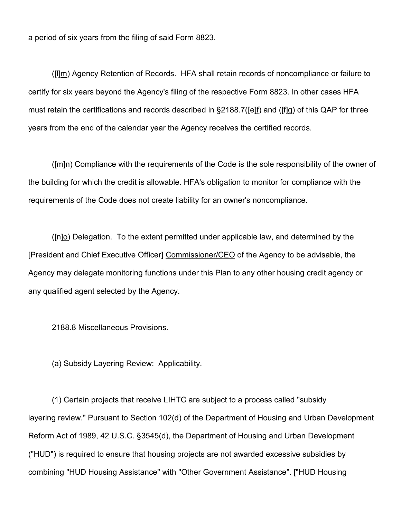a period of six years from the filing of said Form 8823.

([l]m) Agency Retention of Records. HFA shall retain records of noncompliance or failure to certify for six years beyond the Agency's filing of the respective Form 8823. In other cases HFA must retain the certifications and records described in §2188.7([e]f) and ([f]g) of this QAP for three years from the end of the calendar year the Agency receives the certified records.

([m]n) Compliance with the requirements of the Code is the sole responsibility of the owner of the building for which the credit is allowable. HFA's obligation to monitor for compliance with the requirements of the Code does not create liability for an owner's noncompliance.

 $(n)$  Delegation. To the extent permitted under applicable law, and determined by the [President and Chief Executive Officer] Commissioner/CEO of the Agency to be advisable, the Agency may delegate monitoring functions under this Plan to any other housing credit agency or any qualified agent selected by the Agency.

2188.8 Miscellaneous Provisions.

(a) Subsidy Layering Review: Applicability.

(1) Certain projects that receive LIHTC are subject to a process called "subsidy layering review." Pursuant to Section 102(d) of the Department of Housing and Urban Development Reform Act of 1989, 42 U.S.C. §3545(d), the Department of Housing and Urban Development ("HUD") is required to ensure that housing projects are not awarded excessive subsidies by combining "HUD Housing Assistance" with "Other Government Assistance". ["HUD Housing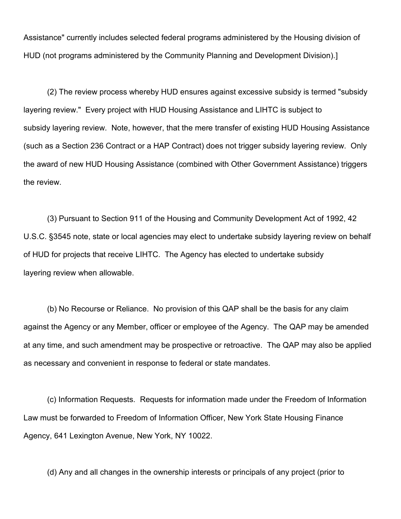Assistance" currently includes selected federal programs administered by the Housing division of HUD (not programs administered by the Community Planning and Development Division).]

(2) The review process whereby HUD ensures against excessive subsidy is termed "subsidy layering review." Every project with HUD Housing Assistance and LIHTC is subject to subsidy layering review. Note, however, that the mere transfer of existing HUD Housing Assistance (such as a Section 236 Contract or a HAP Contract) does not trigger subsidy layering review. Only the award of new HUD Housing Assistance (combined with Other Government Assistance) triggers the review.

(3) Pursuant to Section 911 of the Housing and Community Development Act of 1992, 42 U.S.C. §3545 note, state or local agencies may elect to undertake subsidy layering review on behalf of HUD for projects that receive LIHTC. The Agency has elected to undertake subsidy layering review when allowable.

(b) No Recourse or Reliance. No provision of this QAP shall be the basis for any claim against the Agency or any Member, officer or employee of the Agency. The QAP may be amended at any time, and such amendment may be prospective or retroactive. The QAP may also be applied as necessary and convenient in response to federal or state mandates.

(c) Information Requests. Requests for information made under the Freedom of Information Law must be forwarded to Freedom of Information Officer, New York State Housing Finance Agency, 641 Lexington Avenue, New York, NY 10022.

(d) Any and all changes in the ownership interests or principals of any project (prior to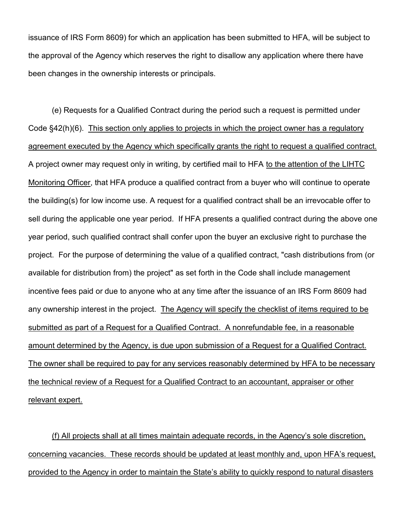issuance of IRS Form 8609) for which an application has been submitted to HFA, will be subject to the approval of the Agency which reserves the right to disallow any application where there have been changes in the ownership interests or principals.

(e) Requests for a Qualified Contract during the period such a request is permitted under Code §42(h)(6). This section only applies to projects in which the project owner has a regulatory agreement executed by the Agency which specifically grants the right to request a qualified contract. A project owner may request only in writing, by certified mail to HFA to the attention of the LIHTC Monitoring Officer, that HFA produce a qualified contract from a buyer who will continue to operate the building(s) for low income use. A request for a qualified contract shall be an irrevocable offer to sell during the applicable one year period. If HFA presents a qualified contract during the above one year period, such qualified contract shall confer upon the buyer an exclusive right to purchase the project. For the purpose of determining the value of a qualified contract, "cash distributions from (or available for distribution from) the project" as set forth in the Code shall include management incentive fees paid or due to anyone who at any time after the issuance of an IRS Form 8609 had any ownership interest in the project. The Agency will specify the checklist of items required to be submitted as part of a Request for a Qualified Contract. A nonrefundable fee, in a reasonable amount determined by the Agency, is due upon submission of a Request for a Qualified Contract. The owner shall be required to pay for any services reasonably determined by HFA to be necessary the technical review of a Request for a Qualified Contract to an accountant, appraiser or other relevant expert.

(f) All projects shall at all times maintain adequate records, in the Agency's sole discretion, concerning vacancies. These records should be updated at least monthly and, upon HFA's request, provided to the Agency in order to maintain the State's ability to quickly respond to natural disasters